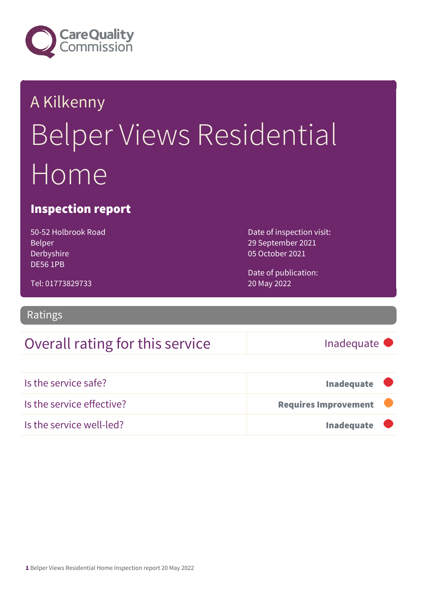

## A Kilkenny Belper Views Residential Home

#### Inspection report

50-52 Holbrook Road Belper Derbyshire DE56 1PB

Date of inspection visit: 29 September 2021 05 October 2021

Tel: 01773829733

Ratings

### Overall rating for this service Inadequate

20 May 2022

Date of publication:

| Is the service safe?      | Inadequate                  |  |
|---------------------------|-----------------------------|--|
| Is the service effective? | <b>Requires Improvement</b> |  |
| Is the service well-led?  | <b>Inadequate</b>           |  |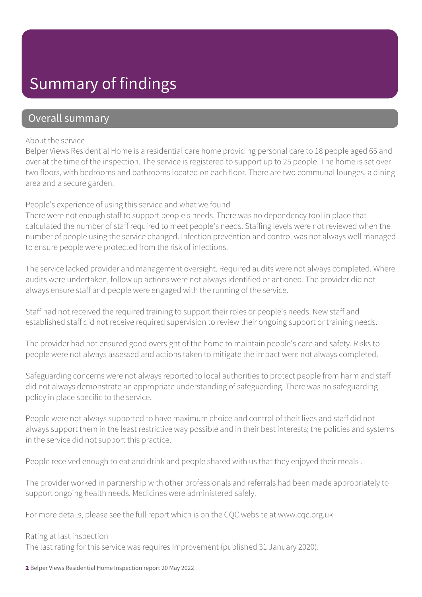### Summary of findings

#### Overall summary

#### About the service

Belper Views Residential Home is a residential care home providing personal care to 18 people aged 65 and over at the time of the inspection. The service is registered to support up to 25 people. The home is set over two floors, with bedrooms and bathrooms located on each floor. There are two communal lounges, a dining area and a secure garden.

#### People's experience of using this service and what we found

There were not enough staff to support people's needs. There was no dependency tool in place that calculated the number of staff required to meet people's needs. Staffing levels were not reviewed when the number of people using the service changed. Infection prevention and control was not always well managed to ensure people were protected from the risk of infections.

The service lacked provider and management oversight. Required audits were not always completed. Where audits were undertaken, follow up actions were not always identified or actioned. The provider did not always ensure staff and people were engaged with the running of the service.

Staff had not received the required training to support their roles or people's needs. New staff and established staff did not receive required supervision to review their ongoing support or training needs.

The provider had not ensured good oversight of the home to maintain people's care and safety. Risks to people were not always assessed and actions taken to mitigate the impact were not always completed.

Safeguarding concerns were not always reported to local authorities to protect people from harm and staff did not always demonstrate an appropriate understanding of safeguarding. There was no safeguarding policy in place specific to the service.

People were not always supported to have maximum choice and control of their lives and staff did not always support them in the least restrictive way possible and in their best interests; the policies and systems in the service did not support this practice.

People received enough to eat and drink and people shared with us that they enjoyed their meals .

The provider worked in partnership with other professionals and referrals had been made appropriately to support ongoing health needs. Medicines were administered safely.

For more details, please see the full report which is on the CQC website at www.cqc.org.uk

#### Rating at last inspection

The last rating for this service was requires improvement (published 31 January 2020).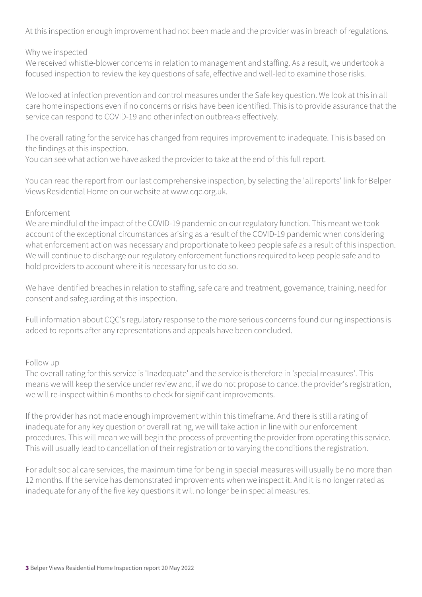At this inspection enough improvement had not been made and the provider was in breach of regulations.

#### Why we inspected

We received whistle-blower concerns in relation to management and staffing. As a result, we undertook a focused inspection to review the key questions of safe, effective and well-led to examine those risks.

We looked at infection prevention and control measures under the Safe key question. We look at this in all care home inspections even if no concerns or risks have been identified. This is to provide assurance that the service can respond to COVID-19 and other infection outbreaks effectively.

The overall rating for the service has changed from requires improvement to inadequate. This is based on the findings at this inspection.

You can see what action we have asked the provider to take at the end of this full report.

You can read the report from our last comprehensive inspection, by selecting the 'all reports' link for Belper Views Residential Home on our website at www.cqc.org.uk.

#### Enforcement

We are mindful of the impact of the COVID-19 pandemic on our regulatory function. This meant we took account of the exceptional circumstances arising as a result of the COVID-19 pandemic when considering what enforcement action was necessary and proportionate to keep people safe as a result of this inspection. We will continue to discharge our regulatory enforcement functions required to keep people safe and to hold providers to account where it is necessary for us to do so.

We have identified breaches in relation to staffing, safe care and treatment, governance, training, need for consent and safeguarding at this inspection.

Full information about CQC's regulatory response to the more serious concerns found during inspections is added to reports after any representations and appeals have been concluded.

#### Follow up

The overall rating for this service is 'Inadequate' and the service is therefore in 'special measures'. This means we will keep the service under review and, if we do not propose to cancel the provider's registration, we will re-inspect within 6 months to check for significant improvements.

If the provider has not made enough improvement within this timeframe. And there is still a rating of inadequate for any key question or overall rating, we will take action in line with our enforcement procedures. This will mean we will begin the process of preventing the provider from operating this service. This will usually lead to cancellation of their registration or to varying the conditions the registration.

For adult social care services, the maximum time for being in special measures will usually be no more than 12 months. If the service has demonstrated improvements when we inspect it. And it is no longer rated as inadequate for any of the five key questions it will no longer be in special measures.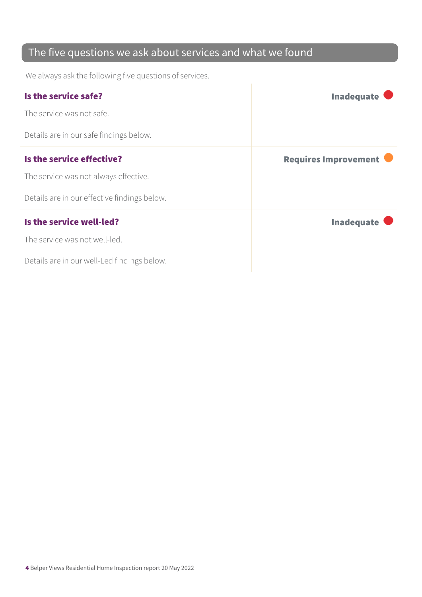### The five questions we ask about services and what we found

We always ask the following five questions of services.

| Is the service safe?                         | <b>Inadequate</b>           |
|----------------------------------------------|-----------------------------|
| The service was not safe.                    |                             |
| Details are in our safe findings below.      |                             |
| Is the service effective?                    | <b>Requires Improvement</b> |
| The service was not always effective.        |                             |
| Details are in our effective findings below. |                             |
| Is the service well-led?                     | <b>Inadequate</b>           |
| The service was not well-led.                |                             |
| Details are in our well-Led findings below.  |                             |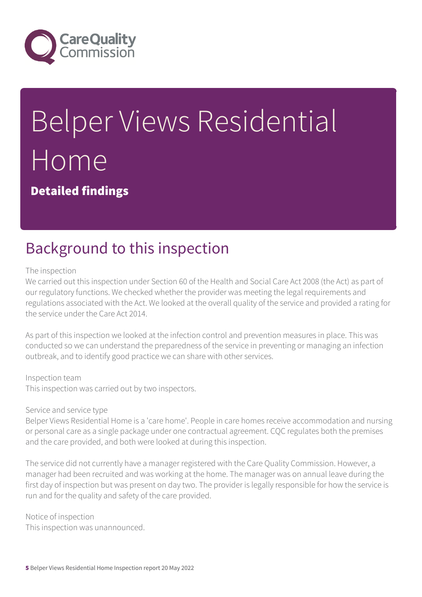

# Belper Views Residential Home

Detailed findings

### Background to this inspection

#### The inspection

We carried out this inspection under Section 60 of the Health and Social Care Act 2008 (the Act) as part of our regulatory functions. We checked whether the provider was meeting the legal requirements and regulations associated with the Act. We looked at the overall quality of the service and provided a rating for the service under the Care Act 2014.

As part of this inspection we looked at the infection control and prevention measures in place. This was conducted so we can understand the preparedness of the service in preventing or managing an infection outbreak, and to identify good practice we can share with other services.

#### Inspection team

This inspection was carried out by two inspectors.

#### Service and service type

Belper Views Residential Home is a 'care home'. People in care homes receive accommodation and nursing or personal care as a single package under one contractual agreement. CQC regulates both the premises and the care provided, and both were looked at during this inspection.

The service did not currently have a manager registered with the Care Quality Commission. However, a manager had been recruited and was working at the home. The manager was on annual leave during the first day of inspection but was present on day two. The provider is legally responsible for how the service is run and for the quality and safety of the care provided.

Notice of inspection This inspection was unannounced.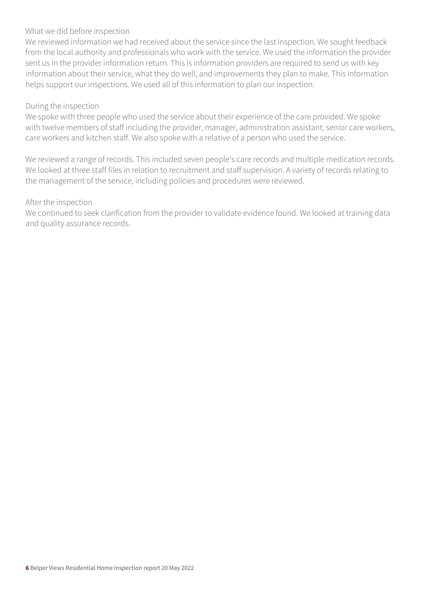#### What we did before inspection

We reviewed information we had received about the service since the last inspection. We sought feedback from the local authority and professionals who work with the service. We used the information the provider sent us in the provider information return. This is information providers are required to send us with key information about their service, what they do well, and improvements they plan to make. This information helps support our inspections. We used all of this information to plan our inspection.

#### During the inspection

We spoke with three people who used the service about their experience of the care provided. We spoke with twelve members of staff including the provider, manager, administration assistant, senior care workers, care workers and kitchen staff. We also spoke with a relative of a person who used the service.

We reviewed a range of records. This included seven people's care records and multiple medication records. We looked at three staff files in relation to recruitment and staff supervision. A variety of records relating to the management of the service, including policies and procedures were reviewed.

#### After the inspection

We continued to seek clarification from the provider to validate evidence found. We looked at training data and quality assurance records.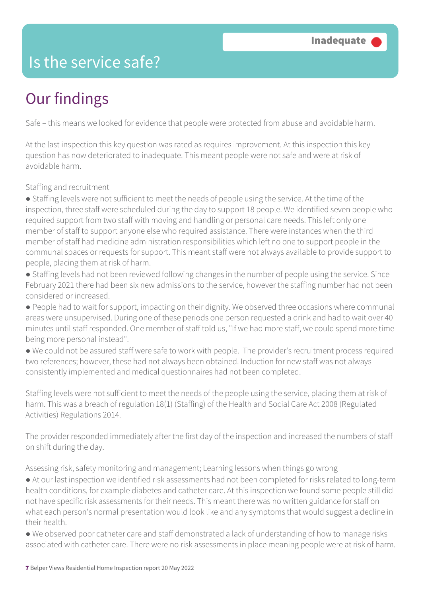### Is the service safe?

### Our findings

Safe – this means we looked for evidence that people were protected from abuse and avoidable harm.

At the last inspection this key question was rated as requires improvement. At this inspection this key question has now deteriorated to inadequate. This meant people were not safe and were at risk of avoidable harm.

Staffing and recruitment

● Staffing levels were not sufficient to meet the needs of people using the service. At the time of the inspection, three staff were scheduled during the day to support 18 people. We identified seven people who required support from two staff with moving and handling or personal care needs. This left only one member of staff to support anyone else who required assistance. There were instances when the third member of staff had medicine administration responsibilities which left no one to support people in the communal spaces or requests for support. This meant staff were not always available to provide support to people, placing them at risk of harm.

● Staffing levels had not been reviewed following changes in the number of people using the service. Since February 2021 there had been six new admissions to the service, however the staffing number had not been considered or increased.

● People had to wait for support, impacting on their dignity. We observed three occasions where communal areas were unsupervised. During one of these periods one person requested a drink and had to wait over 40 minutes until staff responded. One member of staff told us, "If we had more staff, we could spend more time being more personal instead".

● We could not be assured staff were safe to work with people. The provider's recruitment process required two references; however, these had not always been obtained. Induction for new staff was not always consistently implemented and medical questionnaires had not been completed.

Staffing levels were not sufficient to meet the needs of the people using the service, placing them at risk of harm. This was a breach of regulation 18(1) (Staffing) of the Health and Social Care Act 2008 (Regulated Activities) Regulations 2014.

The provider responded immediately after the first day of the inspection and increased the numbers of staff on shift during the day.

Assessing risk, safety monitoring and management; Learning lessons when things go wrong

● At our last inspection we identified risk assessments had not been completed for risks related to long-term health conditions, for example diabetes and catheter care. At this inspection we found some people still did not have specific risk assessments for their needs. This meant there was no written guidance for staff on what each person's normal presentation would look like and any symptoms that would suggest a decline in their health.

● We observed poor catheter care and staff demonstrated a lack of understanding of how to manage risks associated with catheter care. There were no risk assessments in place meaning people were at risk of harm.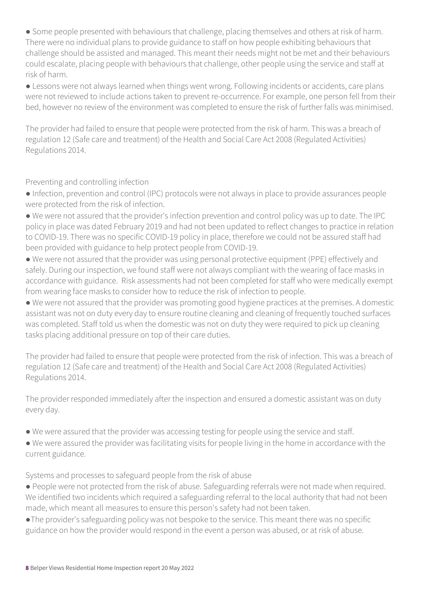● Some people presented with behaviours that challenge, placing themselves and others at risk of harm. There were no individual plans to provide guidance to staff on how people exhibiting behaviours that challenge should be assisted and managed. This meant their needs might not be met and their behaviours could escalate, placing people with behaviours that challenge, other people using the service and staff at risk of harm.

● Lessons were not always learned when things went wrong. Following incidents or accidents, care plans were not reviewed to include actions taken to prevent re-occurrence. For example, one person fell from their bed, however no review of the environment was completed to ensure the risk of further falls was minimised.

The provider had failed to ensure that people were protected from the risk of harm. This was a breach of regulation 12 (Safe care and treatment) of the Health and Social Care Act 2008 (Regulated Activities) Regulations 2014.

Preventing and controlling infection

● Infection, prevention and control (IPC) protocols were not always in place to provide assurances people were protected from the risk of infection.

● We were not assured that the provider's infection prevention and control policy was up to date. The IPC policy in place was dated February 2019 and had not been updated to reflect changes to practice in relation to COVID-19. There was no specific COVID-19 policy in place, therefore we could not be assured staff had been provided with guidance to help protect people from COVID-19.

● We were not assured that the provider was using personal protective equipment (PPE) effectively and safely. During our inspection, we found staff were not always compliant with the wearing of face masks in accordance with guidance. Risk assessments had not been completed for staff who were medically exempt from wearing face masks to consider how to reduce the risk of infection to people.

● We were not assured that the provider was promoting good hygiene practices at the premises. A domestic assistant was not on duty every day to ensure routine cleaning and cleaning of frequently touched surfaces was completed. Staff told us when the domestic was not on duty they were required to pick up cleaning tasks placing additional pressure on top of their care duties.

The provider had failed to ensure that people were protected from the risk of infection. This was a breach of regulation 12 (Safe care and treatment) of the Health and Social Care Act 2008 (Regulated Activities) Regulations 2014.

The provider responded immediately after the inspection and ensured a domestic assistant was on duty every day.

- We were assured that the provider was accessing testing for people using the service and staff.
- We were assured the provider was facilitating visits for people living in the home in accordance with the current guidance.

Systems and processes to safeguard people from the risk of abuse

● People were not protected from the risk of abuse. Safeguarding referrals were not made when required. We identified two incidents which required a safeguarding referral to the local authority that had not been made, which meant all measures to ensure this person's safety had not been taken.

●The provider's safeguarding policy was not bespoke to the service. This meant there was no specific guidance on how the provider would respond in the event a person was abused, or at risk of abuse.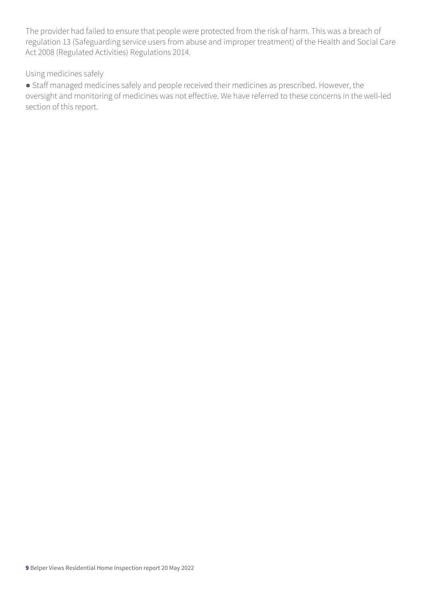The provider had failed to ensure that people were protected from the risk of harm. This was a breach of regulation 13 (Safeguarding service users from abuse and improper treatment) of the Health and Social Care Act 2008 (Regulated Activities) Regulations 2014.

#### Using medicines safely

● Staff managed medicines safely and people received their medicines as prescribed. However, the oversight and monitoring of medicines was not effective. We have referred to these concerns in the well-led section of this report.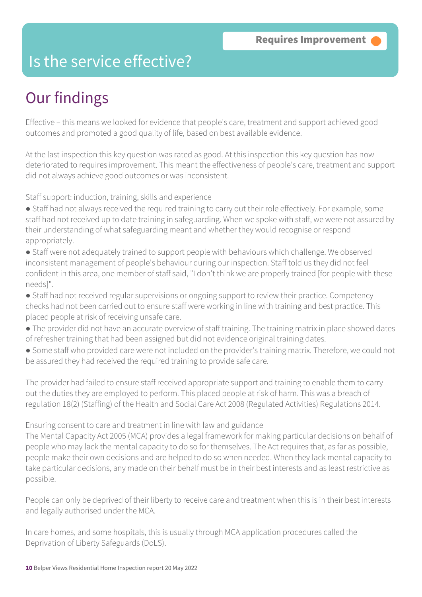### Is the service effective?

### Our findings

Effective – this means we looked for evidence that people's care, treatment and support achieved good outcomes and promoted a good quality of life, based on best available evidence.

At the last inspection this key question was rated as good. At this inspection this key question has now deteriorated to requires improvement. This meant the effectiveness of people's care, treatment and support did not always achieve good outcomes or was inconsistent.

Staff support: induction, training, skills and experience

- Staff had not always received the required training to carry out their role effectively. For example, some staff had not received up to date training in safeguarding. When we spoke with staff, we were not assured by their understanding of what safeguarding meant and whether they would recognise or respond appropriately.
- Staff were not adequately trained to support people with behaviours which challenge. We observed inconsistent management of people's behaviour during our inspection. Staff told us they did not feel confident in this area, one member of staff said, "I don't think we are properly trained [for people with these needs]".
- Staff had not received regular supervisions or ongoing support to review their practice. Competency checks had not been carried out to ensure staff were working in line with training and best practice. This placed people at risk of receiving unsafe care.
- The provider did not have an accurate overview of staff training. The training matrix in place showed dates of refresher training that had been assigned but did not evidence original training dates.
- Some staff who provided care were not included on the provider's training matrix. Therefore, we could not be assured they had received the required training to provide safe care.

The provider had failed to ensure staff received appropriate support and training to enable them to carry out the duties they are employed to perform. This placed people at risk of harm. This was a breach of regulation 18(2) (Staffing) of the Health and Social Care Act 2008 (Regulated Activities) Regulations 2014.

#### Ensuring consent to care and treatment in line with law and guidance

The Mental Capacity Act 2005 (MCA) provides a legal framework for making particular decisions on behalf of people who may lack the mental capacity to do so for themselves. The Act requires that, as far as possible, people make their own decisions and are helped to do so when needed. When they lack mental capacity to take particular decisions, any made on their behalf must be in their best interests and as least restrictive as possible.

People can only be deprived of their liberty to receive care and treatment when this is in their best interests and legally authorised under the MCA.

In care homes, and some hospitals, this is usually through MCA application procedures called the Deprivation of Liberty Safeguards (DoLS).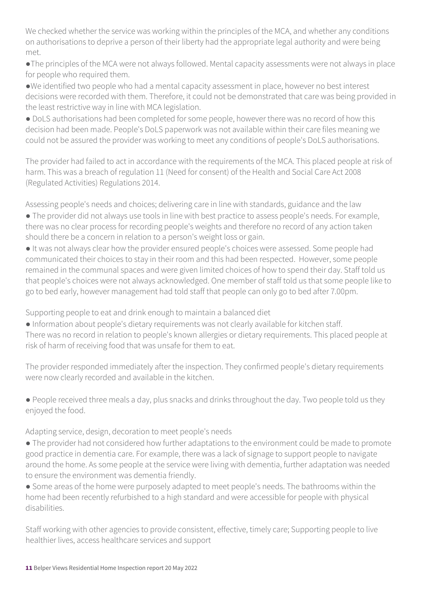We checked whether the service was working within the principles of the MCA, and whether any conditions on authorisations to deprive a person of their liberty had the appropriate legal authority and were being met.

●The principles of the MCA were not always followed. Mental capacity assessments were not always in place for people who required them.

●We identified two people who had a mental capacity assessment in place, however no best interest decisions were recorded with them. Therefore, it could not be demonstrated that care was being provided in the least restrictive way in line with MCA legislation.

● DoLS authorisations had been completed for some people, however there was no record of how this decision had been made. People's DoLS paperwork was not available within their care files meaning we could not be assured the provider was working to meet any conditions of people's DoLS authorisations.

The provider had failed to act in accordance with the requirements of the MCA. This placed people at risk of harm. This was a breach of regulation 11 (Need for consent) of the Health and Social Care Act 2008 (Regulated Activities) Regulations 2014.

Assessing people's needs and choices; delivering care in line with standards, guidance and the law

- The provider did not always use tools in line with best practice to assess people's needs. For example, there was no clear process for recording people's weights and therefore no record of any action taken should there be a concern in relation to a person's weight loss or gain.
- It was not always clear how the provider ensured people's choices were assessed. Some people had communicated their choices to stay in their room and this had been respected. However, some people remained in the communal spaces and were given limited choices of how to spend their day. Staff told us that people's choices were not always acknowledged. One member of staff told us that some people like to go to bed early, however management had told staff that people can only go to bed after 7.00pm.

Supporting people to eat and drink enough to maintain a balanced diet

● Information about people's dietary requirements was not clearly available for kitchen staff.

There was no record in relation to people's known allergies or dietary requirements. This placed people at risk of harm of receiving food that was unsafe for them to eat.

The provider responded immediately after the inspection. They confirmed people's dietary requirements were now clearly recorded and available in the kitchen.

● People received three meals a day, plus snacks and drinks throughout the day. Two people told us they enjoyed the food.

Adapting service, design, decoration to meet people's needs

● The provider had not considered how further adaptations to the environment could be made to promote good practice in dementia care. For example, there was a lack of signage to support people to navigate around the home. As some people at the service were living with dementia, further adaptation was needed to ensure the environment was dementia friendly.

● Some areas of the home were purposely adapted to meet people's needs. The bathrooms within the home had been recently refurbished to a high standard and were accessible for people with physical disabilities.

Staff working with other agencies to provide consistent, effective, timely care; Supporting people to live healthier lives, access healthcare services and support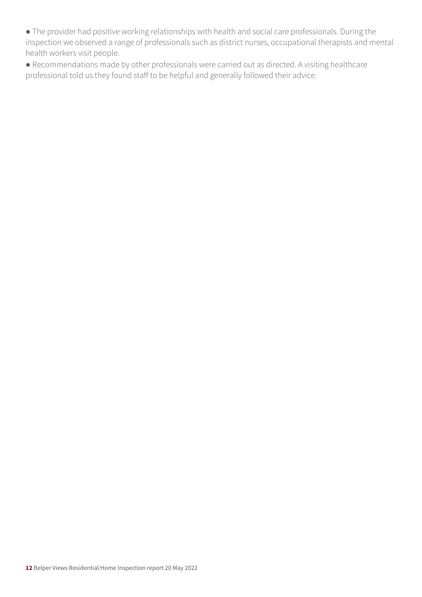● The provider had positive working relationships with health and social care professionals. During the inspection we observed a range of professionals such as district nurses, occupational therapists and mental health workers visit people.

● Recommendations made by other professionals were carried out as directed. A visiting healthcare professional told us they found staff to be helpful and generally followed their advice.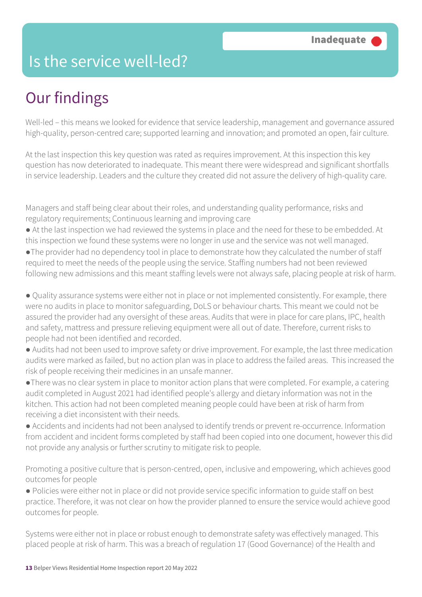### Is the service well-led?

### Our findings

Well-led – this means we looked for evidence that service leadership, management and governance assured high-quality, person-centred care; supported learning and innovation; and promoted an open, fair culture.

At the last inspection this key question was rated as requires improvement. At this inspection this key question has now deteriorated to inadequate. This meant there were widespread and significant shortfalls in service leadership. Leaders and the culture they created did not assure the delivery of high-quality care.

Managers and staff being clear about their roles, and understanding quality performance, risks and regulatory requirements; Continuous learning and improving care

- At the last inspection we had reviewed the systems in place and the need for these to be embedded. At this inspection we found these systems were no longer in use and the service was not well managed.
- ●The provider had no dependency tool in place to demonstrate how they calculated the number of staff required to meet the needs of the people using the service. Staffing numbers had not been reviewed following new admissions and this meant staffing levels were not always safe, placing people at risk of harm.

● Quality assurance systems were either not in place or not implemented consistently. For example, there were no audits in place to monitor safeguarding, DoLS or behaviour charts. This meant we could not be assured the provider had any oversight of these areas. Audits that were in place for care plans, IPC, health and safety, mattress and pressure relieving equipment were all out of date. Therefore, current risks to people had not been identified and recorded.

- Audits had not been used to improve safety or drive improvement. For example, the last three medication audits were marked as failed, but no action plan was in place to address the failed areas. This increased the risk of people receiving their medicines in an unsafe manner.
- ●There was no clear system in place to monitor action plans that were completed. For example, a catering audit completed in August 2021 had identified people's allergy and dietary information was not in the kitchen. This action had not been completed meaning people could have been at risk of harm from receiving a diet inconsistent with their needs.
- Accidents and incidents had not been analysed to identify trends or prevent re-occurrence. Information from accident and incident forms completed by staff had been copied into one document, however this did not provide any analysis or further scrutiny to mitigate risk to people.

Promoting a positive culture that is person-centred, open, inclusive and empowering, which achieves good outcomes for people

● Policies were either not in place or did not provide service specific information to guide staff on best practice. Therefore, it was not clear on how the provider planned to ensure the service would achieve good outcomes for people.

Systems were either not in place or robust enough to demonstrate safety was effectively managed. This placed people at risk of harm. This was a breach of regulation 17 (Good Governance) of the Health and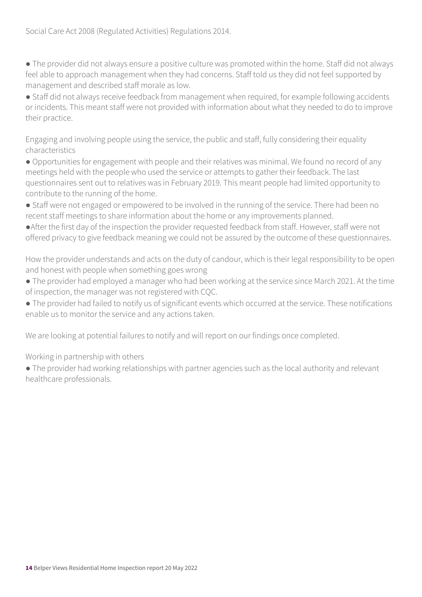Social Care Act 2008 (Regulated Activities) Regulations 2014.

● The provider did not always ensure a positive culture was promoted within the home. Staff did not always feel able to approach management when they had concerns. Staff told us they did not feel supported by management and described staff morale as low.

● Staff did not always receive feedback from management when required, for example following accidents or incidents. This meant staff were not provided with information about what they needed to do to improve their practice.

Engaging and involving people using the service, the public and staff, fully considering their equality characteristics

● Opportunities for engagement with people and their relatives was minimal. We found no record of any meetings held with the people who used the service or attempts to gather their feedback. The last questionnaires sent out to relatives was in February 2019. This meant people had limited opportunity to contribute to the running of the home.

- Staff were not engaged or empowered to be involved in the running of the service. There had been no recent staff meetings to share information about the home or any improvements planned.
- ●After the first day of the inspection the provider requested feedback from staff. However, staff were not offered privacy to give feedback meaning we could not be assured by the outcome of these questionnaires.

How the provider understands and acts on the duty of candour, which is their legal responsibility to be open and honest with people when something goes wrong

- The provider had employed a manager who had been working at the service since March 2021. At the time of inspection, the manager was not registered with CQC.
- The provider had failed to notify us of significant events which occurred at the service. These notifications enable us to monitor the service and any actions taken.

We are looking at potential failures to notify and will report on our findings once completed.

Working in partnership with others

● The provider had working relationships with partner agencies such as the local authority and relevant healthcare professionals.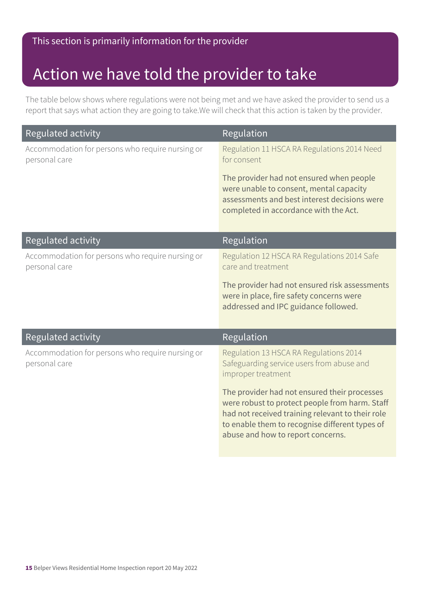### Action we have told the provider to take

The table below shows where regulations were not being met and we have asked the provider to send us a report that says what action they are going to take.We will check that this action is taken by the provider.

| <b>Regulated activity</b>                                         | Regulation                                                                                                                                                                                                                                |
|-------------------------------------------------------------------|-------------------------------------------------------------------------------------------------------------------------------------------------------------------------------------------------------------------------------------------|
| Accommodation for persons who require nursing or<br>personal care | Regulation 11 HSCA RA Regulations 2014 Need<br>for consent                                                                                                                                                                                |
|                                                                   | The provider had not ensured when people<br>were unable to consent, mental capacity<br>assessments and best interest decisions were<br>completed in accordance with the Act.                                                              |
| Regulated activity                                                | Regulation                                                                                                                                                                                                                                |
| Accommodation for persons who require nursing or<br>personal care | Regulation 12 HSCA RA Regulations 2014 Safe<br>care and treatment                                                                                                                                                                         |
|                                                                   | The provider had not ensured risk assessments<br>were in place, fire safety concerns were<br>addressed and IPC guidance followed.                                                                                                         |
| Regulated activity                                                | Regulation                                                                                                                                                                                                                                |
| Accommodation for persons who require nursing or<br>personal care | Regulation 13 HSCA RA Regulations 2014<br>Safeguarding service users from abuse and<br>improper treatment                                                                                                                                 |
|                                                                   | The provider had not ensured their processes<br>were robust to protect people from harm. Staff<br>had not received training relevant to their role<br>to enable them to recognise different types of<br>abuse and how to report concerns. |